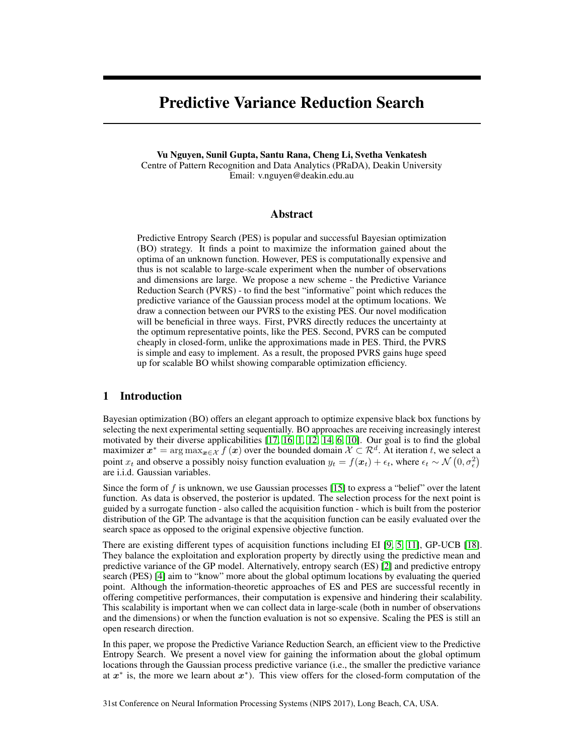# Predictive Variance Reduction Search

Vu Nguyen, Sunil Gupta, Santu Rana, Cheng Li, Svetha Venkatesh Centre of Pattern Recognition and Data Analytics (PRaDA), Deakin University Email: v.nguyen@deakin.edu.au

# Abstract

Predictive Entropy Search (PES) is popular and successful Bayesian optimization (BO) strategy. It finds a point to maximize the information gained about the optima of an unknown function. However, PES is computationally expensive and thus is not scalable to large-scale experiment when the number of observations and dimensions are large. We propose a new scheme - the Predictive Variance Reduction Search (PVRS) - to find the best "informative" point which reduces the predictive variance of the Gaussian process model at the optimum locations. We draw a connection between our PVRS to the existing PES. Our novel modification will be beneficial in three ways. First, PVRS directly reduces the uncertainty at the optimum representative points, like the PES. Second, PVRS can be computed cheaply in closed-form, unlike the approximations made in PES. Third, the PVRS is simple and easy to implement. As a result, the proposed PVRS gains huge speed up for scalable BO whilst showing comparable optimization efficiency.

# 1 Introduction

Bayesian optimization (BO) offers an elegant approach to optimize expensive black box functions by selecting the next experimental setting sequentially. BO approaches are receiving increasingly interest motivated by their diverse applicabilities [\[17,](#page-4-0) [16,](#page-4-1) [1,](#page-4-2) [12,](#page-4-3) [14,](#page-4-4) [6,](#page-4-5) [10\]](#page-4-6). Our goal is to find the global maximizer  $x^* = \arg \max_{x \in \mathcal{X}} f(x)$  over the bounded domain  $\mathcal{X} \subset \mathcal{R}^d$ . At iteration t, we select a point  $x_t$  and observe a possibly noisy function evaluation  $y_t = f(x_t) + \epsilon_t$ , where  $\epsilon_t \sim \mathcal{N}(0, \sigma_{\epsilon}^2)$ are i.i.d. Gaussian variables.

Since the form of f is unknown, we use Gaussian processes [\[15\]](#page-4-7) to express a "belief" over the latent function. As data is observed, the posterior is updated. The selection process for the next point is guided by a surrogate function - also called the acquisition function - which is built from the posterior distribution of the GP. The advantage is that the acquisition function can be easily evaluated over the search space as opposed to the original expensive objective function.

There are existing different types of acquisition functions including EI [\[9,](#page-4-8) [5,](#page-4-9) [11\]](#page-4-10), GP-UCB [\[18\]](#page-4-11). They balance the exploitation and exploration property by directly using the predictive mean and predictive variance of the GP model. Alternatively, entropy search (ES) [\[2\]](#page-4-12) and predictive entropy search (PES) [\[4\]](#page-4-13) aim to "know" more about the global optimum locations by evaluating the queried point. Although the information-theoretic approaches of ES and PES are successful recently in offering competitive performances, their computation is expensive and hindering their scalability. This scalability is important when we can collect data in large-scale (both in number of observations and the dimensions) or when the function evaluation is not so expensive. Scaling the PES is still an open research direction.

In this paper, we propose the Predictive Variance Reduction Search, an efficient view to the Predictive Entropy Search. We present a novel view for gaining the information about the global optimum locations through the Gaussian process predictive variance (i.e., the smaller the predictive variance at  $x^*$  is, the more we learn about  $x^*$ ). This view offers for the closed-form computation of the

31st Conference on Neural Information Processing Systems (NIPS 2017), Long Beach, CA, USA.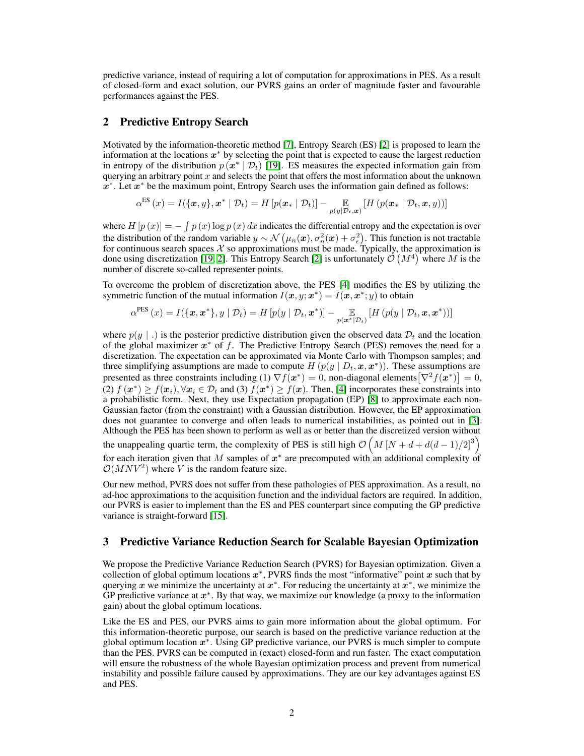predictive variance, instead of requiring a lot of computation for approximations in PES. As a result of closed-form and exact solution, our PVRS gains an order of magnitude faster and favourable performances against the PES.

# 2 Predictive Entropy Search

Motivated by the information-theoretic method [\[7\]](#page-4-14), Entropy Search (ES) [\[2\]](#page-4-12) is proposed to learn the information at the locations  $x^*$  by selecting the point that is expected to cause the largest reduction in entropy of the distribution  $p(x^* | \mathcal{D}_t)$  [\[19\]](#page-4-15). ES measures the expected information gain from querying an arbitrary point x and selects the point that offers the most information about the unknown  $x^*$ . Let  $x^*$  be the maximum point, Entropy Search uses the information gain defined as follows:

$$
\alpha^{\text{ES}}\left(x\right) = I(\{\boldsymbol{x},y\}, \boldsymbol{x}^* \mid \mathcal{D}_t) = H\left[p(\boldsymbol{x}_* \mid \mathcal{D}_t)\right] - \underset{p(y|\mathcal{D}_t,\boldsymbol{x})}{\mathbb{E}}\left[H\left(p(\boldsymbol{x}_* \mid \mathcal{D}_t, \boldsymbol{x}, y)\right)\right]
$$

where  $H[p(x)] = -\int p(x) \log p(x) dx$  indicates the differential entropy and the expectation is over the distribution of the random variable  $y \sim \mathcal{N}(\mu_n(\bm{x}), \sigma_n^2(\bm{x}) + \sigma_{\epsilon}^2)$ . This function is not tractable for continuous search spaces  $\mathcal X$  so approximations must be made. Typically, the approximation is done using discretization [\[19,](#page-4-15) [2\]](#page-4-12). This Entropy Search [\[2\]](#page-4-12) is unfortunately  $\mathcal{O}(M^4)$  where M is the number of discrete so-called representer points.

To overcome the problem of discretization above, the PES [\[4\]](#page-4-13) modifies the ES by utilizing the symmetric function of the mutual information  $I(x, y; x^*) = I(x, x^*; y)$  to obtain

$$
\alpha^{\text{PES}}(x) = I(\{\boldsymbol{x}, \boldsymbol{x}^*\}, y \mid \mathcal{D}_t) = H\left[p(y \mid \mathcal{D}_t, \boldsymbol{x}^*)\right] - \underset{p(\boldsymbol{x}^*\mid \mathcal{D}_t)}{\mathbb{E}}\left[H\left(p(y \mid \mathcal{D}_t, \boldsymbol{x}, \boldsymbol{x}^*)\right)\right]
$$

where  $p(y \mid \cdot)$  is the posterior predictive distribution given the observed data  $\mathcal{D}_t$  and the location of the global maximizer  $x^*$  of f. The Predictive Entropy Search (PES) removes the need for a discretization. The expectation can be approximated via Monte Carlo with Thompson samples; and three simplifying assumptions are made to compute  $H(p(y | D_t, x, x^*))$ . These assumptions are presented as three constraints including (1)  $\nabla f(x^*) = 0$ , non-diagonal elements $[\nabla^2 f(x^*)] = 0$ , (2)  $f(\mathbf{x}^*) \ge f(\mathbf{x}_i), \forall \mathbf{x}_i \in \mathcal{D}_t$  and (3)  $f(\mathbf{x}^*) \ge f(\mathbf{x})$ . Then, [\[4\]](#page-4-13) incorporates these constraints into a probabilistic form. Next, they use Expectation propagation (EP) [\[8\]](#page-4-16) to approximate each non-Gaussian factor (from the constraint) with a Gaussian distribution. However, the EP approximation does not guarantee to converge and often leads to numerical instabilities, as pointed out in [\[3\]](#page-4-17). Although the PES has been shown to perform as well as or better than the discretized version without the unappealing quartic term, the complexity of PES is still high  $\mathcal{O}(M [N + d + d(d-1)/2]^3)$ for each iteration given that M samples of  $x^*$  are precomputed with an additional complexity of  $\mathcal{O}(MNV^2)$  where V is the random feature size.

Our new method, PVRS does not suffer from these pathologies of PES approximation. As a result, no ad-hoc approximations to the acquisition function and the individual factors are required. In addition, our PVRS is easier to implement than the ES and PES counterpart since computing the GP predictive variance is straight-forward [\[15\]](#page-4-7).

### 3 Predictive Variance Reduction Search for Scalable Bayesian Optimization

We propose the Predictive Variance Reduction Search (PVRS) for Bayesian optimization. Given a collection of global optimum locations  $x^*$ , PVRS finds the most "informative" point  $x$  such that by querying x we minimize the uncertainty at  $x^*$ . For reducing the uncertainty at  $x^*$ , we minimize the GP predictive variance at  $x^*$ . By that way, we maximize our knowledge (a proxy to the information gain) about the global optimum locations.

Like the ES and PES, our PVRS aims to gain more information about the global optimum. For this information-theoretic purpose, our search is based on the predictive variance reduction at the global optimum location  $x^*$ . Using GP predictive variance, our PVRS is much simpler to compute than the PES. PVRS can be computed in (exact) closed-form and run faster. The exact computation will ensure the robustness of the whole Bayesian optimization process and prevent from numerical instability and possible failure caused by approximations. They are our key advantages against ES and PES.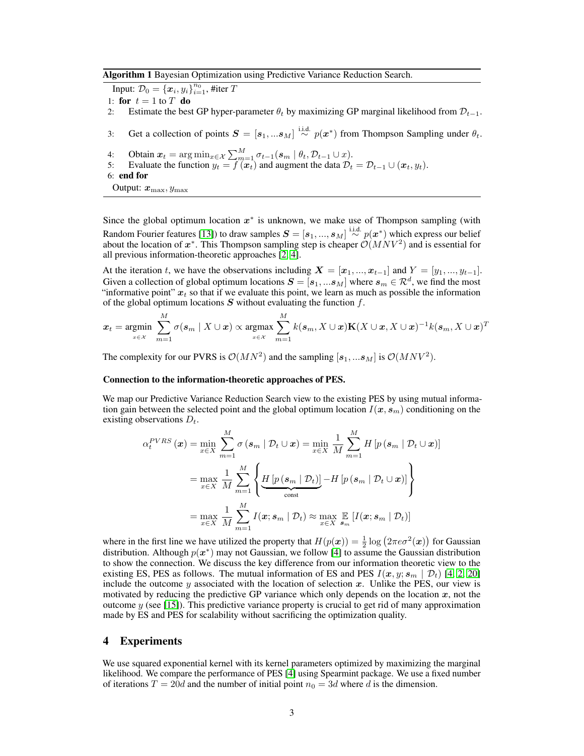Algorithm 1 Bayesian Optimization using Predictive Variance Reduction Search.

Input:  $\mathcal{D}_0 = \left\{\boldsymbol{x}_i, y_i \right\}_{i=1}^{n_0}$ , #iter  $T$ 

- 1: for  $t = 1$  to T do
- 2: Estimate the best GP hyper-parameter  $\theta_t$  by maximizing GP marginal likelihood from  $\mathcal{D}_{t-1}$ .
- 3: Get a collection of points  $S = [s_1, ... s_M] \stackrel{\text{i.i.d.}}{\sim} p(x^*)$  from Thompson Sampling under  $\theta_t$ .
- 4: Obtain  $x_t = \arg \min_{x \in \mathcal{X}} \sum_{m=1}^M \sigma_{t-1}(s_m \mid \theta_t, \mathcal{D}_{t-1} \cup x).$
- 5: Evaluate the function  $y_t = f(x_t)$  and augment the data  $D_t = D_{t-1} \cup (x_t, y_t)$ .

Since the global optimum location  $x^*$  is unknown, we make use of Thompson sampling (with Random Fourier features [\[13\]](#page-4-18)) to draw samples  $S = [s_1, ..., s_M] \stackrel{\text{i.i.d.}}{\sim} p(x^*)$  which express our belief about the location of  $x^*$ . This Thompson sampling step is cheaper  $\mathcal{O}(MNV^2)$  and is essential for all previous information-theoretic approaches [\[2,](#page-4-12) [4\]](#page-4-13).

At the iteration t, we have the observations including  $X = [x_1, ..., x_{t-1}]$  and  $Y = [y_1, ..., y_{t-1}]$ . Given a collection of global optimum locations  $\bm{S}=[\bm{s}_1,...\bm{s}_M]$  where  $\bm{s}_m\in\mathcal{R}^d,$  we find the most "informative point"  $x_t$  so that if we evaluate this point, we learn as much as possible the information of the global optimum locations  $S$  without evaluating the function  $f$ .

$$
\boldsymbol{x}_t = \operatorname*{argmin}_{\boldsymbol{x} \in \mathcal{X}} \sum_{m=1}^M \sigma(\boldsymbol{s}_m \mid X \cup \boldsymbol{x}) \propto \operatorname*{argmax}_{\boldsymbol{x} \in \mathcal{X}} \sum_{m=1}^M k(\boldsymbol{s}_m, X \cup \boldsymbol{x}) \mathbf{K}(X \cup \boldsymbol{x}, X \cup \boldsymbol{x})^{-1} k(\boldsymbol{s}_m, X \cup \boldsymbol{x})^T
$$

The complexity for our PVRS is  $\mathcal{O}(MN^2)$  and the sampling  $[\mathbf{s}_1, ... \mathbf{s}_M]$  is  $\mathcal{O}(MNV^2)$ .

#### Connection to the information-theoretic approaches of PES.

We map our Predictive Variance Reduction Search view to the existing PES by using mutual information gain between the selected point and the global optimum location  $I(x, s_m)$  conditioning on the existing observations  $D_t$ .

$$
\alpha_t^{PVRS}(\boldsymbol{x}) = \min_{x \in X} \sum_{m=1}^M \sigma(s_m \mid \mathcal{D}_t \cup \boldsymbol{x}) = \min_{x \in X} \frac{1}{M} \sum_{m=1}^M H \left[ p(s_m \mid \mathcal{D}_t \cup \boldsymbol{x}) \right]
$$

$$
= \max_{x \in X} \frac{1}{M} \sum_{m=1}^M \left\{ \underbrace{H \left[ p(s_m \mid \mathcal{D}_t) \right]}_{\text{const}} - H \left[ p(s_m \mid \mathcal{D}_t \cup \boldsymbol{x}) \right] \right\}
$$

$$
= \max_{x \in X} \frac{1}{M} \sum_{m=1}^M I(\boldsymbol{x}; s_m \mid \mathcal{D}_t) \approx \max_{x \in X} \mathbb{E} \left[ I(\boldsymbol{x}; s_m \mid \mathcal{D}_t) \right]
$$

where in the first line we have utilized the property that  $H(p(x)) = \frac{1}{2} \log (2 \pi e \sigma^2(x))$  for Gaussian distribution. Although  $p(x^*)$  may not Gaussian, we follow [\[4\]](#page-4-13) to assume the Gaussian distribution to show the connection. We discuss the key difference from our information theoretic view to the existing ES, PES as follows. The mutual information of ES and PES  $I(x, y; s_m | \mathcal{D}_t)$  [\[4,](#page-4-13) [2,](#page-4-12) [20\]](#page-4-19) include the outcome y associated with the location of selection x. Unlike the PES, our view is motivated by reducing the predictive GP variance which only depends on the location  $x$ , not the outcome  $y$  (see [\[15\]](#page-4-7)). This predictive variance property is crucial to get rid of many approximation made by ES and PES for scalability without sacrificing the optimization quality.

### 4 Experiments

We use squared exponential kernel with its kernel parameters optimized by maximizing the marginal likelihood. We compare the performance of PES [\[4\]](#page-4-13) using Spearmint package. We use a fixed number of iterations  $T = 20d$  and the number of initial point  $n_0 = 3d$  where d is the dimension.

<sup>6:</sup> end for

Output:  $x_{\text{max}}, y_{\text{max}}$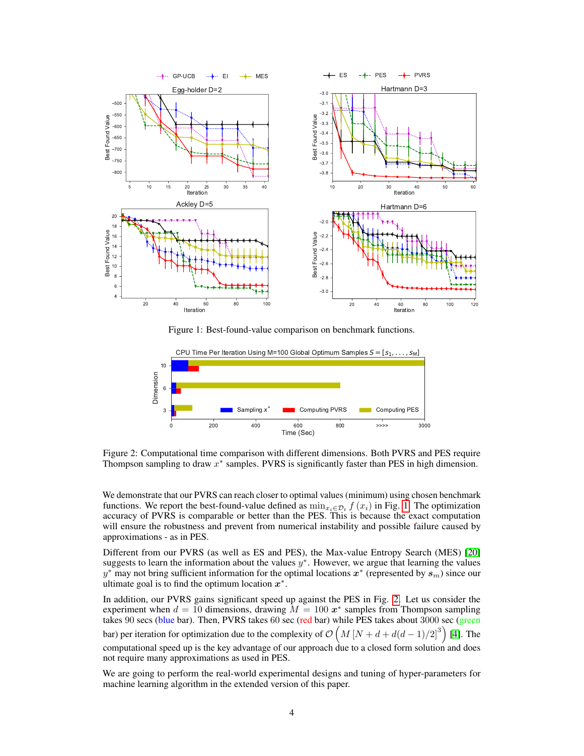

<span id="page-3-0"></span>Figure 1: Best-found-value comparison on benchmark functions.



<span id="page-3-1"></span>Figure 2: Computational time comparison with different dimensions. Both PVRS and PES require Thompson sampling to draw  $x^*$  samples. PVRS is significantly faster than PES in high dimension.

We demonstrate that our PVRS can reach closer to optimal values (minimum) using chosen benchmark functions. We report the best-found-value defined as  $\min_{x_i \in \mathcal{D}_t} f(x_i)$  in Fig. [1.](#page-3-0) The optimization accuracy of PVRS is comparable or better than the PES. This is because the exact computation will ensure the robustness and prevent from numerical instability and possible failure caused by approximations - as in PES.

Different from our PVRS (as well as ES and PES), the Max-value Entropy Search (MES) [\[20\]](#page-4-19) suggests to learn the information about the values  $y^*$ . However, we argue that learning the values y<sup>\*</sup> may not bring sufficient information for the optimal locations  $x^*$  (represented by  $s_m$ ) since our ultimate goal is to find the optimum location  $x^*$ .

In addition, our PVRS gains significant speed up against the PES in Fig. [2.](#page-3-1) Let us consider the experiment when  $d = 10$  dimensions, drawing  $M = 100 x^*$  samples from Thompson sampling takes 90 secs (blue bar). Then, PVRS takes 60 sec (red bar) while PES takes about 3000 sec (green bar) per iteration for optimization due to the complexity of  $\mathcal{O}(M [N + d + d(d-1)/2]^3)$  [\[4\]](#page-4-13). The computational speed up is the key advantage of our approach due to a closed form solution and does not require many approximations as used in PES.

We are going to perform the real-world experimental designs and tuning of hyper-parameters for machine learning algorithm in the extended version of this paper.